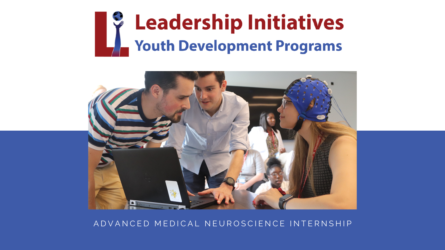# **S** Leadership Initiatives **Youth Development Programs**



# A D V A N C E D M E D I C A L N E U R O S C I E N C E I N T E R N S H I P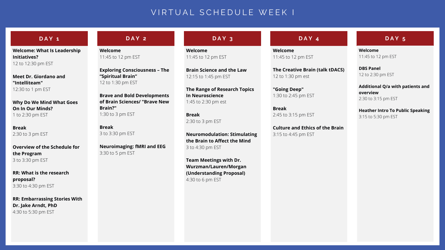# VIRTUAL SCHEDULE WEEK I

# **D A Y 1**

# **D A Y 2 D A Y 3 D A Y 4 D A Y 5**

**Welcome: What Is Leadership Initiatives?** 12 to 12:30 pm EST

**Meet Dr. Giordano and "Intelliteam"** 12:30 to 1 pm EST

**Why Do We Mind What Goes On In Our Minds?** 1 to 2:30 pm EST

**Break** 2:30 to 3 pm EST

**Overview of the Schedule for the Program** 3 to 3:30 pm EST

**RR: What is the research proposal?** 3:30 to 4:30 pm EST

**RR: Embarrassing Stories With Dr. Jake Arndt, PhD** 4:30 to 5:30 pm EST

**Welcome** 11:45 to 12 pm EST

**Exploring Consciousness – The "Spiritual Brain"** 12 to 1:30 pm EST

## **Brave and Bold Developments of Brain Sciences/ "Brave New Brain?"** 1:30 to 3 pm EST

**Break** 3 to 3:30 pm EST

**Neuroimaging: fMRI and EEG** 3:30 to 5 pm EST

**Welcome** 11:45 to 12 pm EST

**Brain Science and the Law** 12:15 to 1:45 pm EST

**The Range of Research Topics In Neuroscience** 1:45 to 2:30 pm est

**Break** 2:30 to 3 pm EST

**Neuromodulation: Stimulating the Brain to Affect the Mind** 3 to 4:30 pm EST

**Team Meetings with Dr. Wurzman/Lauren/Morgan (Understanding Proposal)** 4:30 to 6 pm EST

**Welcome** 11:45 to 12 pm EST

**The Creative Brain (talk tDACS)** 12 to 1:30 pm est

**"Going Deep"** 1:30 to 2:45 pm EST

**Break** 2:45 to 3:15 pm EST

**Culture and Ethics of the Brain** 3:15 to 4:45 pm EST

**Welcome** 11:45 to 12 pm EST

**DBS Panel** 12 to 2:30 pm EST

**Additional Q/a with patients and overview** 2:30 to 3:15 pm EST

**Heather Intro To Public Speaking** 3:15 to 5:30 pm EST